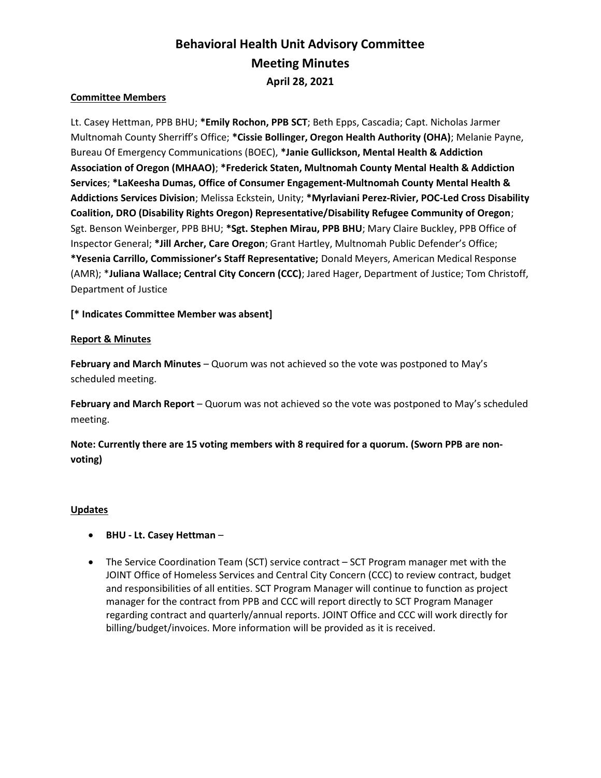# Behavioral Health Unit Advisory Committee Meeting Minutes April 28, 2021

### Committee Members

Lt. Casey Hettman, PPB BHU; \*Emily Rochon, PPB SCT; Beth Epps, Cascadia; Capt. Nicholas Jarmer Multnomah County Sherriff's Office; \*Cissie Bollinger, Oregon Health Authority (OHA); Melanie Payne, Bureau Of Emergency Communications (BOEC), \*Janie Gullickson, Mental Health & Addiction Association of Oregon (MHAAO); \*Frederick Staten, Multnomah County Mental Health & Addiction Services; \*LaKeesha Dumas, Office of Consumer Engagement-Multnomah County Mental Health & Addictions Services Division; Melissa Eckstein, Unity; \*Myrlaviani Perez-Rivier, POC-Led Cross Disability Coalition, DRO (Disability Rights Oregon) Representative/Disability Refugee Community of Oregon; Sgt. Benson Weinberger, PPB BHU; \*Sgt. Stephen Mirau, PPB BHU; Mary Claire Buckley, PPB Office of Inspector General; \*Jill Archer, Care Oregon; Grant Hartley, Multnomah Public Defender's Office; \*Yesenia Carrillo, Commissioner's Staff Representative; Donald Meyers, American Medical Response (AMR); \*Juliana Wallace; Central City Concern (CCC); Jared Hager, Department of Justice; Tom Christoff, Department of Justice

[\* Indicates Committee Member was absent]

## Report & Minutes

February and March Minutes – Quorum was not achieved so the vote was postponed to May's scheduled meeting.

February and March Report – Quorum was not achieved so the vote was postponed to May's scheduled meeting.

Note: Currently there are 15 voting members with 8 required for a quorum. (Sworn PPB are nonvoting)

### Updates

- BHU Lt. Casey Hettman –
- The Service Coordination Team (SCT) service contract SCT Program manager met with the JOINT Office of Homeless Services and Central City Concern (CCC) to review contract, budget and responsibilities of all entities. SCT Program Manager will continue to function as project manager for the contract from PPB and CCC will report directly to SCT Program Manager regarding contract and quarterly/annual reports. JOINT Office and CCC will work directly for billing/budget/invoices. More information will be provided as it is received.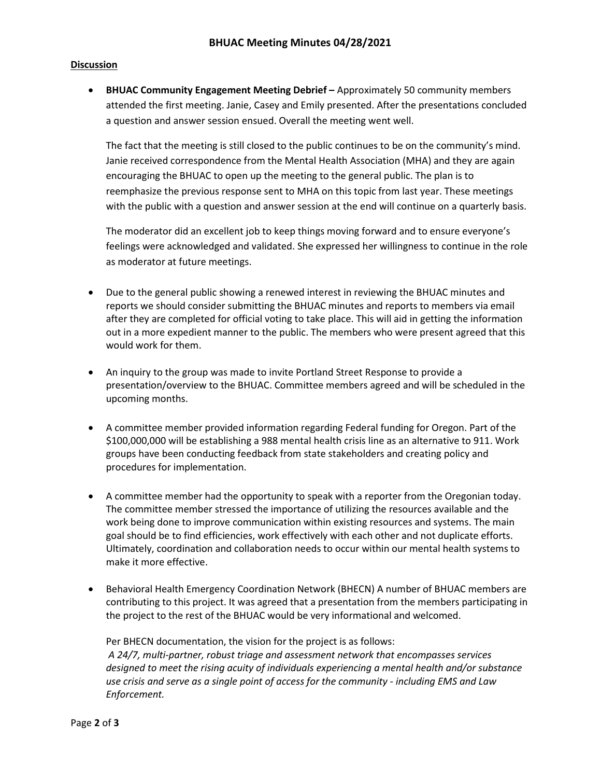#### Discussion

 BHUAC Community Engagement Meeting Debrief – Approximately 50 community members attended the first meeting. Janie, Casey and Emily presented. After the presentations concluded a question and answer session ensued. Overall the meeting went well.

The fact that the meeting is still closed to the public continues to be on the community's mind. Janie received correspondence from the Mental Health Association (MHA) and they are again encouraging the BHUAC to open up the meeting to the general public. The plan is to reemphasize the previous response sent to MHA on this topic from last year. These meetings with the public with a question and answer session at the end will continue on a quarterly basis.

The moderator did an excellent job to keep things moving forward and to ensure everyone's feelings were acknowledged and validated. She expressed her willingness to continue in the role as moderator at future meetings.

- Due to the general public showing a renewed interest in reviewing the BHUAC minutes and reports we should consider submitting the BHUAC minutes and reports to members via email after they are completed for official voting to take place. This will aid in getting the information out in a more expedient manner to the public. The members who were present agreed that this would work for them.
- An inquiry to the group was made to invite Portland Street Response to provide a presentation/overview to the BHUAC. Committee members agreed and will be scheduled in the upcoming months.
- A committee member provided information regarding Federal funding for Oregon. Part of the \$100,000,000 will be establishing a 988 mental health crisis line as an alternative to 911. Work groups have been conducting feedback from state stakeholders and creating policy and procedures for implementation.
- A committee member had the opportunity to speak with a reporter from the Oregonian today. The committee member stressed the importance of utilizing the resources available and the work being done to improve communication within existing resources and systems. The main goal should be to find efficiencies, work effectively with each other and not duplicate efforts. Ultimately, coordination and collaboration needs to occur within our mental health systems to make it more effective.
- Behavioral Health Emergency Coordination Network (BHECN) A number of BHUAC members are contributing to this project. It was agreed that a presentation from the members participating in the project to the rest of the BHUAC would be very informational and welcomed.

Per BHECN documentation, the vision for the project is as follows: A 24/7, multi-partner, robust triage and assessment network that encompasses services designed to meet the rising acuity of individuals experiencing a mental health and/or substance use crisis and serve as a single point of access for the community - including EMS and Law Enforcement.